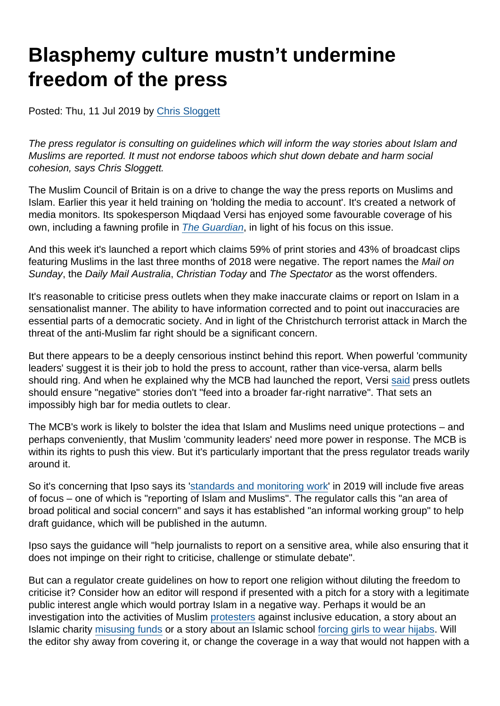# Blasphemy culture mustn't undermine freedom of the press

Posted: Thu, 11 Jul 2019 by [Chris Sloggett](https://www.secularism.org.uk/opinion/authors/968)

The press regulator is consulting on guidelines which will inform the way stories about Islam and Muslims are reported. It must not endorse taboos which shut down debate and harm social cohesion, says Chris Sloggett.

The Muslim Council of Britain is on a drive to change the way the press reports on Muslims and Islam. Earlier this year it held training on 'holding the media to account'. It's created a network of media monitors. Its spokesperson Miqdaad Versi has enjoyed some favourable coverage of his own, including a fawning profile in [The Guardian](https://www.theguardian.com/news/2019/mar/25/the-tories-are-institutionally-islamophobic-miqdaad-versi-takes-on-mps-and-the-media), in light of his focus on this issue.

And this week it's launched a report which claims 59% of print stories and 43% of broadcast clips featuring Muslims in the last three months of 2018 were negative. The report names the Mail on Sunday, the Daily Mail Australia, Christian Today and The Spectator as the worst offenders.

It's reasonable to criticise press outlets when they make inaccurate claims or report on Islam in a sensationalist manner. The ability to have information corrected and to point out inaccuracies are essential parts of a democratic society. And in light of the Christchurch terrorist attack in March the threat of the anti-Muslim far right should be a significant concern.

But there appears to be a deeply censorious instinct behind this report. When powerful 'community leaders' suggest it is their job to hold the press to account, rather than vice-versa, alarm bells should ring. And when he explained why the MCB had launched the report, Versi [said](https://www.theguardian.com/news/2019/jul/09/most-uk-news-coverage-of-muslims-is-negative-major-study-finds) press outlets should ensure "negative" stories don't "feed into a broader far-right narrative". That sets an impossibly high bar for media outlets to clear.

The MCB's work is likely to bolster the idea that Islam and Muslims need unique protections – and perhaps conveniently, that Muslim 'community leaders' need more power in response. The MCB is within its rights to push this view. But it's particularly important that the press regulator treads warily around it.

So it's concerning that Ipso says its '[standards and monitoring work](https://www.ipso.co.uk/news-press-releases/blog/ipso-blog-our-standards-and-monitoring-work-in-2019/)' in 2019 will include five areas of focus – one of which is "reporting of Islam and Muslims". The regulator calls this "an area of broad political and social concern" and says it has established "an informal working group" to help draft guidance, which will be published in the autumn.

Ipso says the guidance will "help journalists to report on a sensitive area, while also ensuring that it does not impinge on their right to criticise, challenge or stimulate debate".

But can a regulator create guidelines on how to report one religion without diluting the freedom to criticise it? Consider how an editor will respond if presented with a pitch for a story with a legitimate public interest angle which would portray Islam in a negative way. Perhaps it would be an investigation into the activities of Muslim [protesters](https://blogs.spectator.co.uk/2019/03/the-shame-of-the-parkfield-school-protesters/) against inclusive education, a story about an Islamic charity [misusing funds](https://www.thirdsector.co.uk/charity-removed-register-spent-money-gym-memberships-says-regulator/governance/article/1586467) or a story about an Islamic school [forcing girls to wear hijabs.](https://www.secularism.org.uk/news/2017/09/girls-forced-to-wear-hijabs-in-english-schools-nss-reveals) Will the editor shy away from covering it, or change the coverage in a way that would not happen with a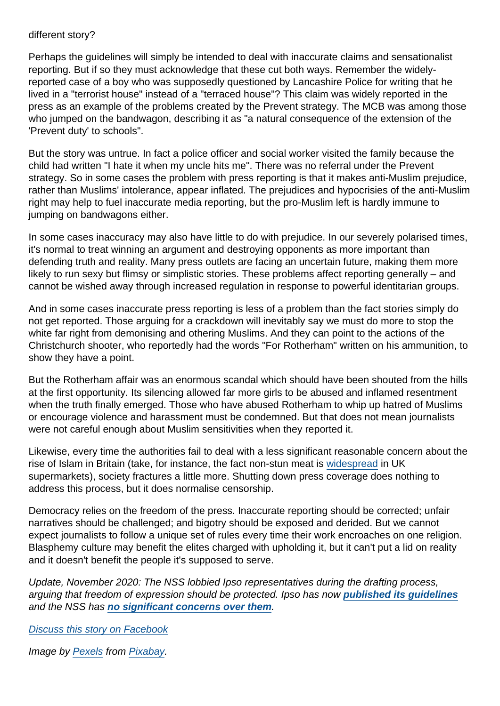#### different story?

Perhaps the guidelines will simply be intended to deal with inaccurate claims and sensationalist reporting. But if so they must acknowledge that these cut both ways. Remember the widelyreported case of a boy who was supposedly questioned by Lancashire Police for writing that he lived in a "terrorist house" instead of a "terraced house"? This claim was widely reported in the press as an example of the problems created by the Prevent strategy. The MCB was among those who jumped on the bandwagon, describing it as "a natural consequence of the extension of the 'Prevent duty' to schools".

But the story was untrue. In fact a police officer and social worker visited the family because the child had written "I hate it when my uncle hits me". There was no referral under the Prevent strategy. So in some cases the problem with press reporting is that it makes anti-Muslim prejudice, rather than Muslims' intolerance, appear inflated. The prejudices and hypocrisies of the anti-Muslim right may help to fuel inaccurate media reporting, but the pro-Muslim left is hardly immune to jumping on bandwagons either.

In some cases inaccuracy may also have little to do with prejudice. In our severely polarised times, it's normal to treat winning an argument and destroying opponents as more important than defending truth and reality. Many press outlets are facing an uncertain future, making them more likely to run sexy but flimsy or simplistic stories. These problems affect reporting generally – and cannot be wished away through increased regulation in response to powerful identitarian groups.

And in some cases inaccurate press reporting is less of a problem than the fact stories simply do not get reported. Those arguing for a crackdown will inevitably say we must do more to stop the white far right from demonising and othering Muslims. And they can point to the actions of the Christchurch shooter, who reportedly had the words "For Rotherham" written on his ammunition, to show they have a point.

But the Rotherham affair was an enormous scandal which should have been shouted from the hills at the first opportunity. Its silencing allowed far more girls to be abused and inflamed resentment when the truth finally emerged. Those who have abused Rotherham to whip up hatred of Muslims or encourage violence and harassment must be condemned. But that does not mean journalists were not careful enough about Muslim sensitivities when they reported it.

Likewise, every time the authorities fail to deal with a less significant reasonable concern about the rise of Islam in Britain (take, for instance, the fact non-stun meat is [widespread](https://www.secularism.org.uk/news/2018/01/unstunned-meat-widespread-in-uk-supermarkets-nss-research-reveals) in UK supermarkets), society fractures a little more. Shutting down press coverage does nothing to address this process, but it does normalise censorship.

Democracy relies on the freedom of the press. Inaccurate reporting should be corrected; unfair narratives should be challenged; and bigotry should be exposed and derided. But we cannot expect journalists to follow a unique set of rules every time their work encroaches on one religion. Blasphemy culture may benefit the elites charged with upholding it, but it can't put a lid on reality and it doesn't benefit the people it's supposed to serve.

Update, November 2020: The NSS lobbied Ipso representatives during the drafting process, arguing that freedom of expression should be protected. Ipso has now [published its guidelines](https://www.ipso.co.uk/media/1972/islam-guidance.pdf) and the NSS has [no significant concerns over them](https://twitter.com/NatSecSoc/status/1326928872718430208) .

[Discuss this story on Facebook](https://www.facebook.com/NationalSecularSociety/posts/2346515245416813?__xts__[0]=68.ARAIyF1G_qQbkCi-kiIw_hDRmPAsDMlB6l98aFqacHUcYrW5a59JsjPxWXA1wr5LDLMiafpS4R8Jr1eC1n6_Np2lbBkXNJ9mWasvTqAT8muUolkBVexOPqyATBynFwqsKTXkfE2MtpiCTaJxwY_euBiGLflWC-Yg0XuEgierUIuw88Qk2c7DekqGTEOXbUriPouGAv2CtTOXE35r8hlWD_dJpyBd445P0qC_nQ0pqrMX9-DiUHBYOw9oMvJ5c97_VyrxrG0gVN3WP1J0DDrdoy5So_P5i8okZyzfQ0YmPuqkjeLyMF6bEd0IXPQbCVDN6xU5QDbEwH8Y_CCpbNQ6FfpPcw&__tn__=-R)

Image by [Pexels](https://pixabay.com/users/Pexels-2286921/?utm_source=link-attribution&utm_medium=referral&utm_campaign=image&utm_content=1853667) from [Pixabay](https://pixabay.com/?utm_source=link-attribution&utm_medium=referral&utm_campaign=image&utm_content=1853667).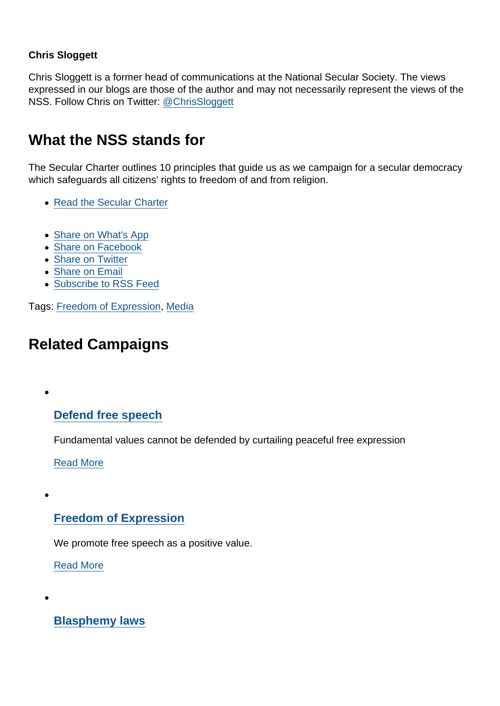#### Chris Sloggett

Chris Sloggett is a former head of communications at the National Secular Society. The views expressed in our blogs are those of the author and may not necessarily represent the views of the NSS. Follow Chris on Twitter: [@ChrisSloggett](https://twitter.com/ChrisSloggett)

# What the NSS stands for

The Secular Charter outlines 10 principles that guide us as we campaign for a secular democracy which safeguards all citizens' rights to freedom of and from religion.

- [Read the Secular Charter](https://www.secularism.org.uk/the-secular-charter.html)
- [Share on What's App](whatsapp://send?text=http://www.secularism.org.uk/opinion/2019/07/blasphemy-culture-mustnt-undermine-freedom-of-the-press?format=pdf)
- [Share on Facebook](https://www.facebook.com/sharer/sharer.php?u=http://www.secularism.org.uk/opinion/2019/07/blasphemy-culture-mustnt-undermine-freedom-of-the-press?format=pdf&t=Blasphemy+culture+mustn’t+undermine+freedom+of+the+press)
- [Share on Twitter](https://twitter.com/intent/tweet?url=http://www.secularism.org.uk/opinion/2019/07/blasphemy-culture-mustnt-undermine-freedom-of-the-press?format=pdf&text=Blasphemy+culture+mustn’t+undermine+freedom+of+the+press&via=NatSecSoc)
- [Share on Email](https://www.secularism.org.uk/share.html?url=http://www.secularism.org.uk/opinion/2019/07/blasphemy-culture-mustnt-undermine-freedom-of-the-press?format=pdf&title=Blasphemy+culture+mustn’t+undermine+freedom+of+the+press)
- [Subscribe to RSS Feed](/mnt/web-data/www/cp-nss/feeds/rss/news)

Tags: [Freedom of Expression](https://www.secularism.org.uk/opinion/tags/Freedom+of+Expression), [Media](https://www.secularism.org.uk/opinion/tags/Media)

## Related Campaigns

[Defend free speech](https://www.secularism.org.uk/defend-free-speech/)

Fundamental values cannot be defended by curtailing peaceful free expression

[Read More](https://www.secularism.org.uk/defend-free-speech/)

### [Freedom of Expression](https://www.secularism.org.uk/free-expression/)

We promote free speech as a positive value.

[Read More](https://www.secularism.org.uk/free-expression/)

[Blasphemy laws](https://www.secularism.org.uk/blasphemy/)